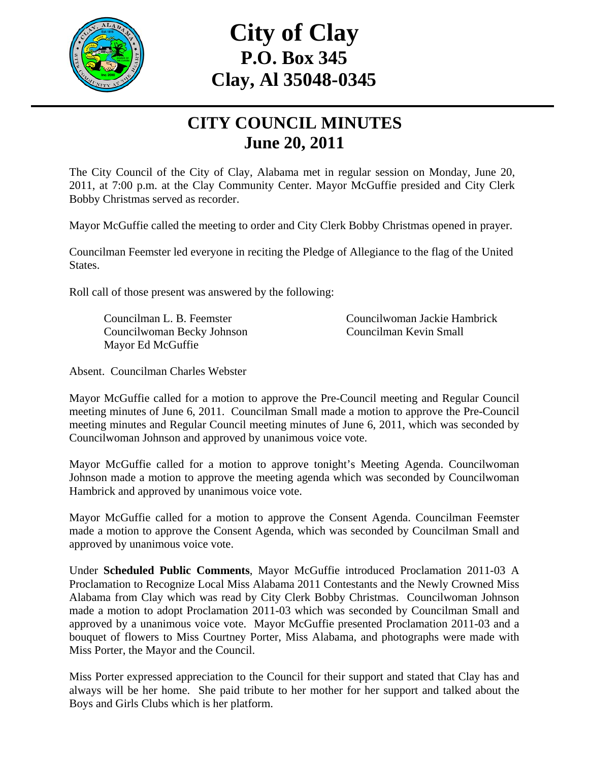

# **City of Clay P.O. Box 345 Clay, Al 35048-0345**

## **CITY COUNCIL MINUTES June 20, 2011**

The City Council of the City of Clay, Alabama met in regular session on Monday, June 20, 2011, at 7:00 p.m. at the Clay Community Center. Mayor McGuffie presided and City Clerk Bobby Christmas served as recorder.

Mayor McGuffie called the meeting to order and City Clerk Bobby Christmas opened in prayer.

Councilman Feemster led everyone in reciting the Pledge of Allegiance to the flag of the United States.

Roll call of those present was answered by the following:

 Councilwoman Becky Johnson Councilman Kevin Small Mayor Ed McGuffie

Councilman L. B. Feemster Councilwoman Jackie Hambrick

Absent. Councilman Charles Webster

Mayor McGuffie called for a motion to approve the Pre-Council meeting and Regular Council meeting minutes of June 6, 2011. Councilman Small made a motion to approve the Pre-Council meeting minutes and Regular Council meeting minutes of June 6, 2011, which was seconded by Councilwoman Johnson and approved by unanimous voice vote.

Mayor McGuffie called for a motion to approve tonight's Meeting Agenda. Councilwoman Johnson made a motion to approve the meeting agenda which was seconded by Councilwoman Hambrick and approved by unanimous voice vote.

Mayor McGuffie called for a motion to approve the Consent Agenda. Councilman Feemster made a motion to approve the Consent Agenda, which was seconded by Councilman Small and approved by unanimous voice vote.

Under **Scheduled Public Comments**, Mayor McGuffie introduced Proclamation 2011-03 A Proclamation to Recognize Local Miss Alabama 2011 Contestants and the Newly Crowned Miss Alabama from Clay which was read by City Clerk Bobby Christmas. Councilwoman Johnson made a motion to adopt Proclamation 2011-03 which was seconded by Councilman Small and approved by a unanimous voice vote. Mayor McGuffie presented Proclamation 2011-03 and a bouquet of flowers to Miss Courtney Porter, Miss Alabama, and photographs were made with Miss Porter, the Mayor and the Council.

Miss Porter expressed appreciation to the Council for their support and stated that Clay has and always will be her home. She paid tribute to her mother for her support and talked about the Boys and Girls Clubs which is her platform.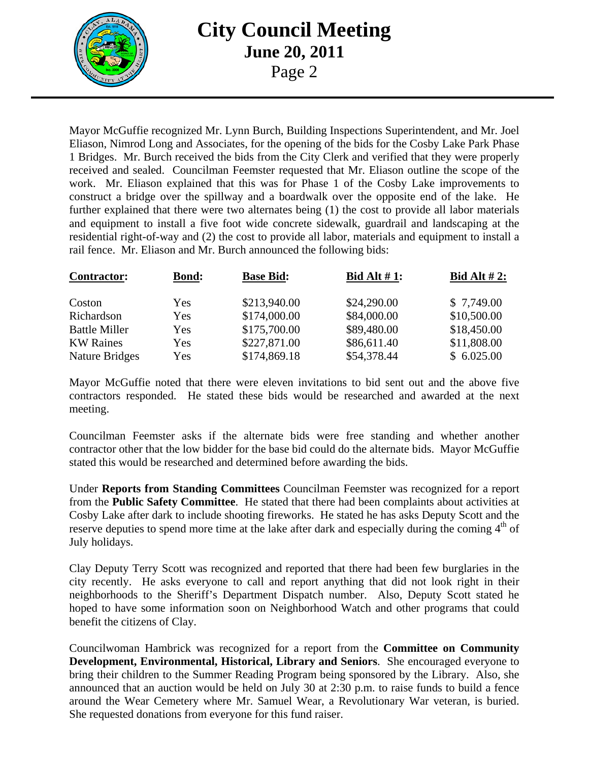

Mayor McGuffie recognized Mr. Lynn Burch, Building Inspections Superintendent, and Mr. Joel Eliason, Nimrod Long and Associates, for the opening of the bids for the Cosby Lake Park Phase 1 Bridges. Mr. Burch received the bids from the City Clerk and verified that they were properly received and sealed. Councilman Feemster requested that Mr. Eliason outline the scope of the work. Mr. Eliason explained that this was for Phase 1 of the Cosby Lake improvements to construct a bridge over the spillway and a boardwalk over the opposite end of the lake. He further explained that there were two alternates being (1) the cost to provide all labor materials and equipment to install a five foot wide concrete sidewalk, guardrail and landscaping at the residential right-of-way and (2) the cost to provide all labor, materials and equipment to install a rail fence. Mr. Eliason and Mr. Burch announced the following bids:

| <b>Contractor:</b>    | <b>Bond:</b> | <b>Base Bid:</b> | Bid Alt $#1$ : | Bid Alt $#2$ : |
|-----------------------|--------------|------------------|----------------|----------------|
| Coston                | Yes          | \$213,940.00     | \$24,290.00    | \$7,749.00     |
| Richardson            | Yes          | \$174,000.00     | \$84,000.00    | \$10,500.00    |
| <b>Battle Miller</b>  | Yes          | \$175,700.00     | \$89,480.00    | \$18,450.00    |
| <b>KW Raines</b>      | Yes          | \$227,871.00     | \$86,611.40    | \$11,808.00    |
| <b>Nature Bridges</b> | Yes          | \$174,869.18     | \$54,378.44    | \$6.025.00     |

Mayor McGuffie noted that there were eleven invitations to bid sent out and the above five contractors responded. He stated these bids would be researched and awarded at the next meeting.

Councilman Feemster asks if the alternate bids were free standing and whether another contractor other that the low bidder for the base bid could do the alternate bids. Mayor McGuffie stated this would be researched and determined before awarding the bids.

Under **Reports from Standing Committees** Councilman Feemster was recognized for a report from the **Public Safety Committee**. He stated that there had been complaints about activities at Cosby Lake after dark to include shooting fireworks. He stated he has asks Deputy Scott and the reserve deputies to spend more time at the lake after dark and especially during the coming  $4<sup>th</sup>$  of July holidays.

Clay Deputy Terry Scott was recognized and reported that there had been few burglaries in the city recently. He asks everyone to call and report anything that did not look right in their neighborhoods to the Sheriff's Department Dispatch number. Also, Deputy Scott stated he hoped to have some information soon on Neighborhood Watch and other programs that could benefit the citizens of Clay.

Councilwoman Hambrick was recognized for a report from the **Committee on Community Development, Environmental, Historical, Library and Seniors**. She encouraged everyone to bring their children to the Summer Reading Program being sponsored by the Library. Also, she announced that an auction would be held on July 30 at 2:30 p.m. to raise funds to build a fence around the Wear Cemetery where Mr. Samuel Wear, a Revolutionary War veteran, is buried. She requested donations from everyone for this fund raiser.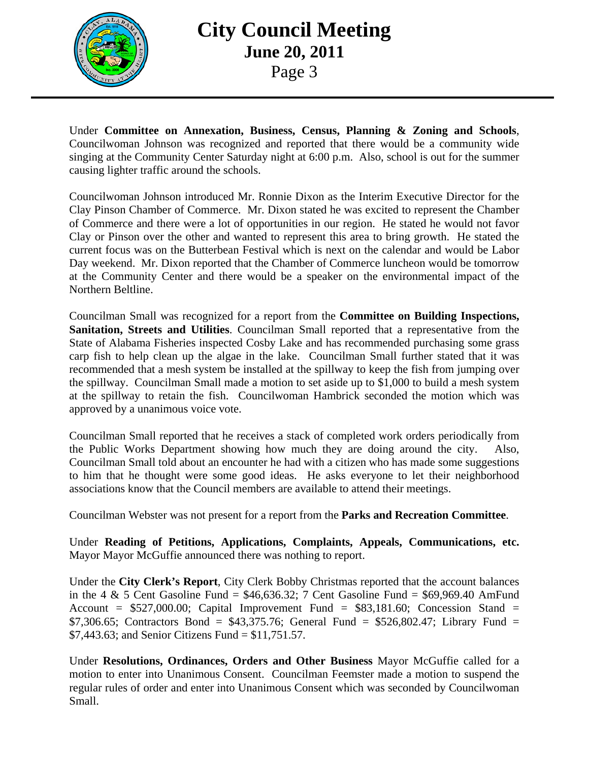

Under **Committee on Annexation, Business, Census, Planning & Zoning and Schools**, Councilwoman Johnson was recognized and reported that there would be a community wide singing at the Community Center Saturday night at 6:00 p.m. Also, school is out for the summer causing lighter traffic around the schools.

Councilwoman Johnson introduced Mr. Ronnie Dixon as the Interim Executive Director for the Clay Pinson Chamber of Commerce. Mr. Dixon stated he was excited to represent the Chamber of Commerce and there were a lot of opportunities in our region. He stated he would not favor Clay or Pinson over the other and wanted to represent this area to bring growth. He stated the current focus was on the Butterbean Festival which is next on the calendar and would be Labor Day weekend. Mr. Dixon reported that the Chamber of Commerce luncheon would be tomorrow at the Community Center and there would be a speaker on the environmental impact of the Northern Beltline.

Councilman Small was recognized for a report from the **Committee on Building Inspections, Sanitation, Streets and Utilities**. Councilman Small reported that a representative from the State of Alabama Fisheries inspected Cosby Lake and has recommended purchasing some grass carp fish to help clean up the algae in the lake. Councilman Small further stated that it was recommended that a mesh system be installed at the spillway to keep the fish from jumping over the spillway. Councilman Small made a motion to set aside up to \$1,000 to build a mesh system at the spillway to retain the fish. Councilwoman Hambrick seconded the motion which was approved by a unanimous voice vote.

Councilman Small reported that he receives a stack of completed work orders periodically from the Public Works Department showing how much they are doing around the city. Also, Councilman Small told about an encounter he had with a citizen who has made some suggestions to him that he thought were some good ideas. He asks everyone to let their neighborhood associations know that the Council members are available to attend their meetings.

Councilman Webster was not present for a report from the **Parks and Recreation Committee**.

Under **Reading of Petitions, Applications, Complaints, Appeals, Communications, etc.** Mayor Mayor McGuffie announced there was nothing to report.

Under the **City Clerk's Report**, City Clerk Bobby Christmas reported that the account balances in the 4  $\&$  5 Cent Gasoline Fund = \$46,636.32; 7 Cent Gasoline Fund = \$69,969.40 AmFund Account =  $$527,000.00$ ; Capital Improvement Fund =  $$83,181.60$ ; Concession Stand = \$7,306.65; Contractors Bond = \$43,375.76; General Fund = \$526,802.47; Library Fund = \$7,443.63; and Senior Citizens Fund = \$11,751.57.

Under **Resolutions, Ordinances, Orders and Other Business** Mayor McGuffie called for a motion to enter into Unanimous Consent. Councilman Feemster made a motion to suspend the regular rules of order and enter into Unanimous Consent which was seconded by Councilwoman Small.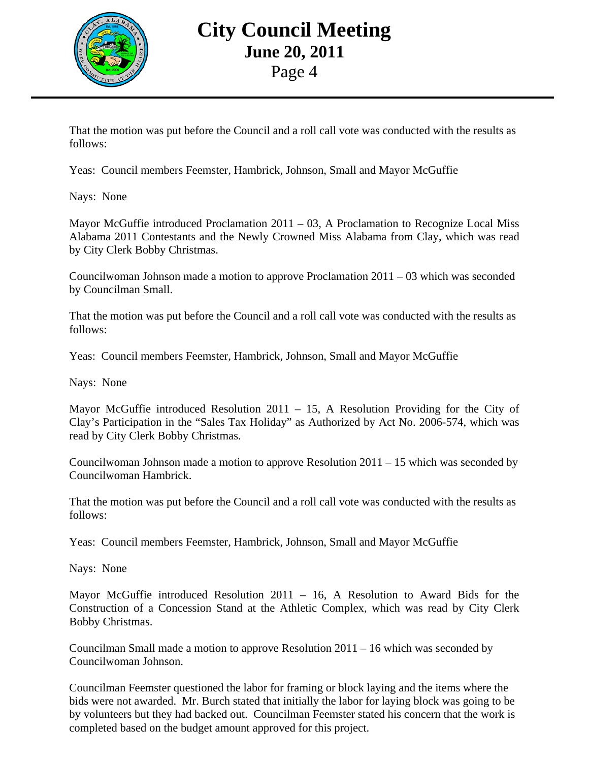

That the motion was put before the Council and a roll call vote was conducted with the results as follows:

Yeas: Council members Feemster, Hambrick, Johnson, Small and Mayor McGuffie

Nays: None

Mayor McGuffie introduced Proclamation 2011 – 03, A Proclamation to Recognize Local Miss Alabama 2011 Contestants and the Newly Crowned Miss Alabama from Clay, which was read by City Clerk Bobby Christmas.

Councilwoman Johnson made a motion to approve Proclamation  $2011 - 03$  which was seconded by Councilman Small.

That the motion was put before the Council and a roll call vote was conducted with the results as follows:

Yeas: Council members Feemster, Hambrick, Johnson, Small and Mayor McGuffie

Nays: None

Mayor McGuffie introduced Resolution 2011 – 15, A Resolution Providing for the City of Clay's Participation in the "Sales Tax Holiday" as Authorized by Act No. 2006-574, which was read by City Clerk Bobby Christmas.

Councilwoman Johnson made a motion to approve Resolution 2011 – 15 which was seconded by Councilwoman Hambrick.

That the motion was put before the Council and a roll call vote was conducted with the results as follows:

Yeas: Council members Feemster, Hambrick, Johnson, Small and Mayor McGuffie

Nays: None

Mayor McGuffie introduced Resolution 2011 – 16, A Resolution to Award Bids for the Construction of a Concession Stand at the Athletic Complex, which was read by City Clerk Bobby Christmas.

Councilman Small made a motion to approve Resolution 2011 – 16 which was seconded by Councilwoman Johnson.

Councilman Feemster questioned the labor for framing or block laying and the items where the bids were not awarded. Mr. Burch stated that initially the labor for laying block was going to be by volunteers but they had backed out. Councilman Feemster stated his concern that the work is completed based on the budget amount approved for this project.